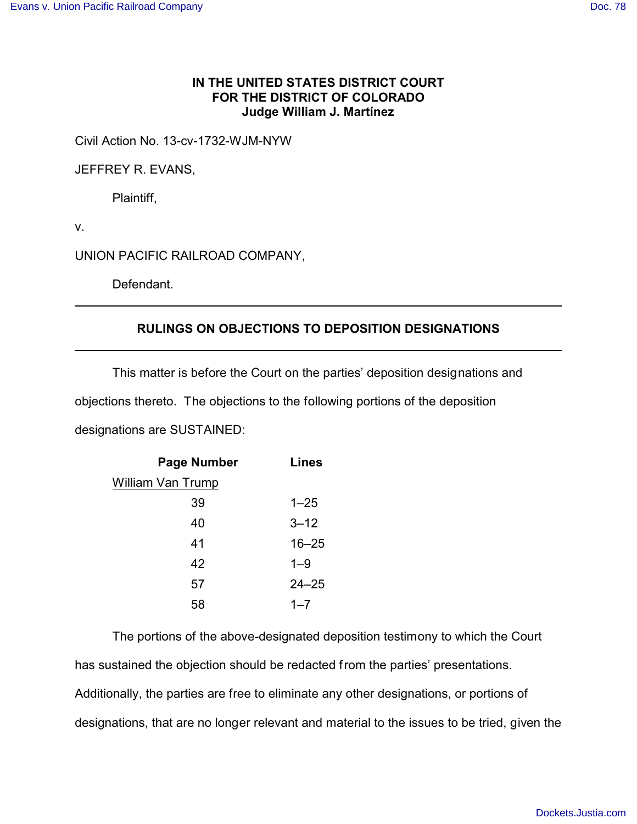## **IN THE UNITED STATES DISTRICT COURT FOR THE DISTRICT OF COLORADO Judge William J. Martínez**

Civil Action No. 13-cv-1732-WJM-NYW

JEFFREY R. EVANS,

Plaintiff,

v.

UNION PACIFIC RAILROAD COMPANY,

Defendant.

## **RULINGS ON OBJECTIONS TO DEPOSITION DESIGNATIONS**

This matter is before the Court on the parties' deposition designations and

objections thereto. The objections to the following portions of the deposition

designations are SUSTAINED:

| <b>Page Number</b> | <b>Lines</b> |
|--------------------|--------------|
| William Van Trump  |              |
| 39                 | $1 - 25$     |
| 40                 | $3 - 12$     |
| 41                 | $16 - 25$    |
| 42                 | $1 - 9$      |
| 57                 | $24 - 25$    |
| 58                 | $1 - 7$      |

The portions of the above-designated deposition testimony to which the Court has sustained the objection should be redacted from the parties' presentations. Additionally, the parties are free to eliminate any other designations, or portions of designations, that are no longer relevant and material to the issues to be tried, given the